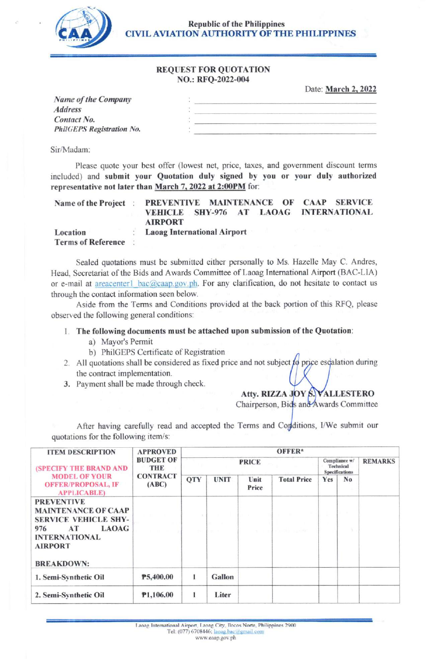

Republic of the Philippines CIVIL AVIATION AUTHORITY OF THE PHILIPPINES

### REQUEST FOR QUOTATION NO.: RFQ-2022-004

Date: March 2, 2022

| Name of the Company       |  |
|---------------------------|--|
| <b>Address</b>            |  |
| Contact No.               |  |
| PhilGEPS Registration No. |  |
|                           |  |

Sir/Madam:

Please quote your best offer (lowest net, price, taxes, and govemment discount terms included) and submit your Quotation duly signed by you or your duly authorized representative not later than March 7, 2022 at 2:00PM for:

| Name of the Project                   | PREVENTIVE MAINTENANCE OF CAAP SERVICE<br>VEHICLE SHY-976 AT LAOAG INTERNATIONAL<br><b>AIRPORT</b> |  |
|---------------------------------------|----------------------------------------------------------------------------------------------------|--|
| Location<br><b>Terms of Reference</b> | <b>Laoag International Airport</b>                                                                 |  |

Sealed quotations must be submitted either personally to Ms. Hazelle May C. Andres, Head, Secretariat of the Bids and Awards Committee of Laoag Intemational Airport (BAC-LIA) or e-mail at areacenter1 bac@caap.gov.ph. For any clarification, do not hesitate to contact us through the contact information seen below.

Aside from the Terms and Conditions provided at the back portion of this RFQ, please observed the following general conditions:

#### L The following documents must be attached upon submission of the Quotation:

- a) Mayor's Permit
- b) PhiIGEPS Certificate of Registration
- 2. All quotations shall be considered as fixed price and not subject  $f\phi$  price escalation during the contract implementation.
- 3. Payment shall be made through check.

## Atty. RIZZA JOY S. VALLESTERO

Chairperson, Bids and Awards Committee

After having carefully read and accepted the Terms and Conditions, I/We submit our quotations for the following item/s:

| <b>ITEM DESCRIPTION</b>                                                                                                                                                    | <b>APPROVED</b><br><b>BUDGET OF</b><br><b>THE</b><br><b>CONTRACT</b><br>(ABC) | $OFFER*$     |             |               |                    |                                                     |    |                |
|----------------------------------------------------------------------------------------------------------------------------------------------------------------------------|-------------------------------------------------------------------------------|--------------|-------------|---------------|--------------------|-----------------------------------------------------|----|----------------|
| (SPECIFY THE BRAND AND<br><b>MODEL OF YOUR</b><br><b>OFFER/PROPOSAL, IF</b><br><b>APPLICABLE)</b>                                                                          |                                                                               | <b>PRICE</b> |             |               |                    | Compliance w/<br>Technical<br><b>Specifications</b> |    | <b>REMARKS</b> |
|                                                                                                                                                                            |                                                                               | QTY          | <b>UNIT</b> | Unit<br>Price | <b>Total Price</b> | Yes                                                 | No |                |
| <b>PREVENTIVE</b><br><b>MAINTENANCE OF CAAP</b><br><b>SERVICE VEHICLE SHY-</b><br><b>LAOAG</b><br>976<br>AT<br><b>INTERNATIONAL</b><br><b>AIRPORT</b><br><b>BREAKDOWN:</b> |                                                                               |              |             |               | attended country.  |                                                     | n. |                |
| 1. Semi-Synthetic Oil                                                                                                                                                      | P5,400.00                                                                     |              | Gallon      |               |                    |                                                     |    |                |
| 2. Semi-Synthetic Oil                                                                                                                                                      | P1,106.00                                                                     |              | Liter       |               |                    |                                                     |    |                |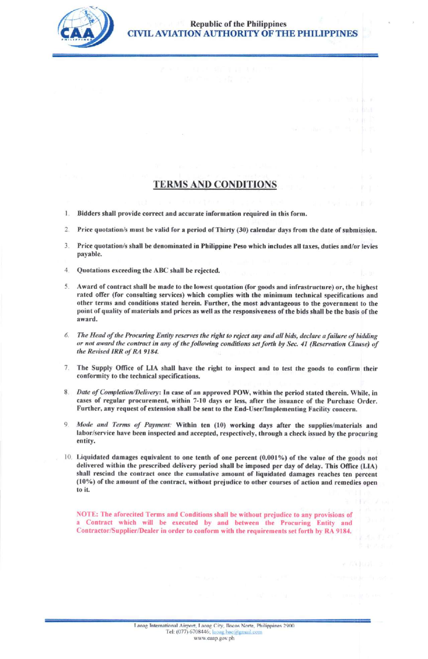

## **TERMS AND CONDITIONS**

- 1. Bidders shall provide correct and accurate information required in this form.
- 2. Price quotation/s must be valid for a period of Thirty (30) calendar days from the date of submission.
- 3. Price quotation/s shall be denominated in Philippine Peso which includes all taxes, duties and/or levies payable.
- 4. Quotations exceeding the ABC shall be rejected.
- 5. Award of contract shall be made to the lowest quotation (for goods and infrastructure) or, the highest rated offer (for consulting services) which complies with the minimum technical specifications and other terms and conditions stated herein. Further, the most advantageous to the government to the point of quality of materials and prices as well as the responsiveness of the bids shall be the basis of the award.
- The Head of the Procuring Entity reserves the right to reject any and all bids, declare a failure of bidding 6. or not award the contract in any of the following conditions set forth by Sec. 41 (Reservation Clause) of the Revised IRR of RA 9184.
- The Supply Office of LIA shall have the right to inspect and to test the goods to confirm their  $7<sup>1</sup>$ conformity to the technical specifications.
- 8. Date of Completion/Delivery: In case of an approved POW, within the period stated therein. While, in cases of regular procurement, within 7-10 days or less, after the issuance of the Purchase Order. Further, any request of extension shall be sent to the End-User/Implementing Facility concern.
- 9. Mode and Terms of Payment: Within ten (10) working days after the supplies/materials and labor/service have been inspected and accepted, respectively, through a check issued by the procuring entity.
- 10. Liquidated damages equivalent to one tenth of one percent (0.001%) of the value of the goods not delivered within the prescribed delivery period shall be imposed per day of delay. This Office (LIA) shall rescind the contract once the cumulative amount of liquidated damages reaches ten percent (10%) of the amount of the contract, without prejudice to other courses of action and remedies open to it.

NOTE: The aforecited Terms and Conditions shall be without prejudice to any provisions of a Contract which will be executed by and between the Procuring Entity and Contractor/Supplier/Dealer in order to conform with the requirements set forth by RA 9184.